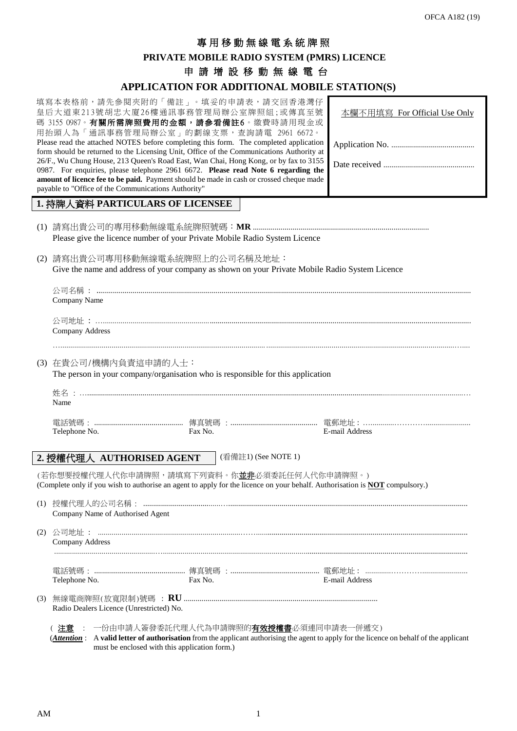# 專 用 移動無線電系統牌照

# **PRIVATE MOBILE RADIO SYSTEM (PMRS) LICENCE**

申請增設移動無線電台

#### **APPLICATION FOR ADDITIONAL MOBILE STATION(S)**

| APPLICATION FOR ADDITIONAL MOBILE STATION(S)                                                                                                                                                                                                                                                                                                                                                                                                                                                                                                                                                                                                                                      |                              |  |  |  |  |  |  |  |  |
|-----------------------------------------------------------------------------------------------------------------------------------------------------------------------------------------------------------------------------------------------------------------------------------------------------------------------------------------------------------------------------------------------------------------------------------------------------------------------------------------------------------------------------------------------------------------------------------------------------------------------------------------------------------------------------------|------------------------------|--|--|--|--|--|--|--|--|
| 填寫本表格前,請先參閱夾附的「備註」。填妥的申請表,請交回香港灣仔<br>皇后大道東213號胡忠大廈26樓通訊事務管理局辦公室牌照組;或傳真至號<br>碼 3155 0987。有關所需牌照費用的金額,請參看備註6。繳費時請用現金或<br>用抬頭人為「通訊事務管理局辦公室」的劃線支票,查詢請電 2961 6672。<br>Please read the attached NOTES before completing this form. The completed application<br>form should be returned to the Licensing Unit, Office of the Communications Authority at<br>26/F., Wu Chung House, 213 Queen's Road East, Wan Chai, Hong Kong, or by fax to 3155<br>0987. For enquiries, please telephone 2961 6672. Please read Note 6 regarding the<br>amount of licence fee to be paid. Payment should be made in cash or crossed cheque made<br>payable to "Office of the Communications Authority" | 本欄不用填寫 For Official Use Only |  |  |  |  |  |  |  |  |
| 1. 持牌人資料 PARTICULARS OF LICENSEE                                                                                                                                                                                                                                                                                                                                                                                                                                                                                                                                                                                                                                                  |                              |  |  |  |  |  |  |  |  |
| Please give the licence number of your Private Mobile Radio System Licence                                                                                                                                                                                                                                                                                                                                                                                                                                                                                                                                                                                                        |                              |  |  |  |  |  |  |  |  |
| (2) 請寫出貴公司專用移動無線電系統牌照上的公司名稱及地址:<br>Give the name and address of your company as shown on your Private Mobile Radio System Licence                                                                                                                                                                                                                                                                                                                                                                                                                                                                                                                                                 |                              |  |  |  |  |  |  |  |  |
| Company Name                                                                                                                                                                                                                                                                                                                                                                                                                                                                                                                                                                                                                                                                      |                              |  |  |  |  |  |  |  |  |
| Company Address                                                                                                                                                                                                                                                                                                                                                                                                                                                                                                                                                                                                                                                                   |                              |  |  |  |  |  |  |  |  |
| (3) 在貴公司/機構內負責這申請的人士:                                                                                                                                                                                                                                                                                                                                                                                                                                                                                                                                                                                                                                                             |                              |  |  |  |  |  |  |  |  |
| The person in your company/organisation who is responsible for this application                                                                                                                                                                                                                                                                                                                                                                                                                                                                                                                                                                                                   |                              |  |  |  |  |  |  |  |  |
| Name                                                                                                                                                                                                                                                                                                                                                                                                                                                                                                                                                                                                                                                                              |                              |  |  |  |  |  |  |  |  |
| Fax No.<br>Telephone No.                                                                                                                                                                                                                                                                                                                                                                                                                                                                                                                                                                                                                                                          | E-mail Address               |  |  |  |  |  |  |  |  |
| (看備註1) (See NOTE 1)<br>2. 授權代理人 AUTHORISED AGENT                                                                                                                                                                                                                                                                                                                                                                                                                                                                                                                                                                                                                                  |                              |  |  |  |  |  |  |  |  |
| (若你想要授權代理人代你申請牌照,請填寫下列資料。你 <b>並非</b> 必須委託任何人代你申請牌照。)                                                                                                                                                                                                                                                                                                                                                                                                                                                                                                                                                                                                                              |                              |  |  |  |  |  |  |  |  |
| (Complete only if you wish to authorise an agent to apply for the licence on your behalf. Authorisation is <b>NOT</b> compulsory.)                                                                                                                                                                                                                                                                                                                                                                                                                                                                                                                                                |                              |  |  |  |  |  |  |  |  |
|                                                                                                                                                                                                                                                                                                                                                                                                                                                                                                                                                                                                                                                                                   |                              |  |  |  |  |  |  |  |  |

| Company Name of Authorised Agent                 |         |                                                                                      |  |  |  |  |  |  |  |  |
|--------------------------------------------------|---------|--------------------------------------------------------------------------------------|--|--|--|--|--|--|--|--|
| - 公司地址 : -<br>Company Address                    |         |                                                                                      |  |  |  |  |  |  |  |  |
| Telephone No.                                    | Fax No. | 電話號碼: ……………………………………… 傳真號碼 :……………………………………… 電郵地址: …………………………………………<br>E-mail Address |  |  |  |  |  |  |  |  |
| Radio Dealers Licence (Unrestricted) No.         |         |                                                                                      |  |  |  |  |  |  |  |  |
| : 一份由申請人簽發委託代理人代為申請牌照的 <b>有效授權書</b> 必須連同申請表一併遞交` |         |                                                                                      |  |  |  |  |  |  |  |  |

(*Attention* : A **valid letter of authorisation** from the applicant authorising the agent to apply for the licence on behalf of the applicant must be enclosed with this application form.)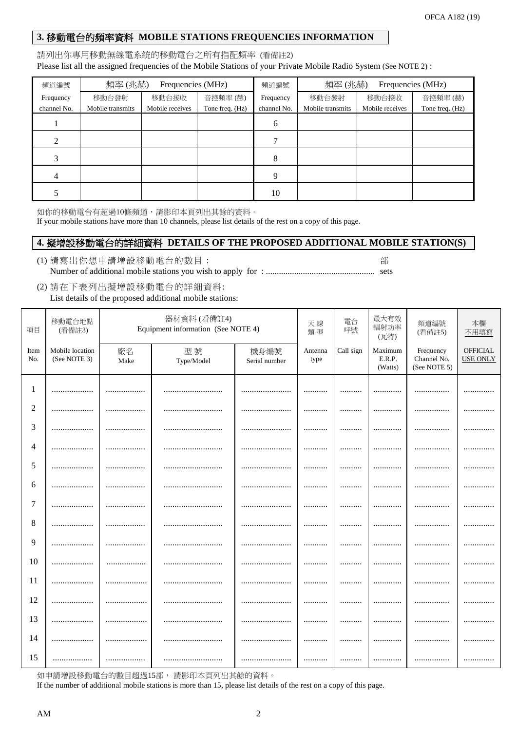# **3.** 移動電台的頻率資料 **MOBILE STATIONS FREQUENCIES INFORMATION**

#### 請列出你專用移動無線電系統的移動電台之所有指配頻率 (看備註2) Please list all the assigned frequencies of the Mobile Stations of your Private Mobile Radio System (See NOTE 2) :

| 頻道編號        | 頻率(兆赫)                              | Frequencies (MHz) |                 | 頻道編號                            | 頻率(兆赫) |                 | Frequencies (MHz) |  |
|-------------|-------------------------------------|-------------------|-----------------|---------------------------------|--------|-----------------|-------------------|--|
| Frequency   | 移動台發射<br>移動台接收                      |                   | 音控頻率(赫)         | Frequency                       | 移動台發射  | 移動台接收           | 音控頻率(赫)           |  |
| channel No. | Mobile transmits<br>Mobile receives |                   | Tone freq. (Hz) | channel No.<br>Mobile transmits |        | Mobile receives | Tone freq. (Hz)   |  |
|             |                                     |                   |                 | 6                               |        |                 |                   |  |
|             |                                     |                   |                 |                                 |        |                 |                   |  |
|             |                                     |                   |                 | 8                               |        |                 |                   |  |
|             |                                     |                   |                 | $\mathbf Q$                     |        |                 |                   |  |
|             |                                     |                   |                 | 10                              |        |                 |                   |  |

如你的移動電台有超過10條頻道,請影印本頁列出其餘的資料。

If your mobile stations have more than 10 channels, please list details of the rest on a copy of this page.

### **4.** 擬增設移動電台的詳細資料 **DETAILS OF THE PROPOSED ADDITIONAL MOBILE STATION(S)**

- (1) 請寫出你想申請增設移動電台的數目 : 部 Number of additional mobile stations you wish to apply for : .................................................. sets
- (2) 請在下表列出擬增設移動電台的詳細資料: List details of the proposed additional mobile stations:

| 項目          | 移動電台地點<br>(看備註3)                |            | 器材資料(看備註4)<br>Equipment information (See NOTE 4) | 天線<br>類型              | 電台<br>呼號        | 最大有效<br>輻射功率<br>(瓦特) | 頻道編號<br>(看備註5)               | 本欄<br>不用填寫                               |                             |
|-------------|---------------------------------|------------|--------------------------------------------------|-----------------------|-----------------|----------------------|------------------------------|------------------------------------------|-----------------------------|
| Item<br>No. | Mobile location<br>(See NOTE 3) | 廠名<br>Make | 型號<br>Type/Model                                 | 機身編號<br>Serial number | Antenna<br>type | Call sign            | Maximum<br>E.R.P.<br>(Watts) | Frequency<br>Channel No.<br>(See NOTE 5) | OFFICIAL<br><b>USE ONLY</b> |
| 1           |                                 | .          |                                                  |                       | .               |                      |                              | .                                        | .                           |
| 2           |                                 |            |                                                  |                       |                 |                      |                              |                                          |                             |
| 3           |                                 |            |                                                  |                       |                 |                      |                              |                                          |                             |
| 4           |                                 |            |                                                  |                       |                 |                      |                              |                                          |                             |
| 5           |                                 |            |                                                  |                       |                 |                      |                              |                                          |                             |
| 6           |                                 |            |                                                  |                       |                 |                      |                              |                                          |                             |
| 7           |                                 |            |                                                  |                       |                 | .                    |                              |                                          |                             |
| 8           |                                 |            |                                                  |                       |                 |                      |                              |                                          |                             |
| 9           | .                               |            |                                                  |                       | .               |                      |                              | .                                        |                             |
| 10          |                                 |            |                                                  |                       |                 |                      |                              |                                          |                             |
| 11          |                                 |            |                                                  |                       |                 |                      |                              |                                          |                             |
| 12          |                                 |            |                                                  |                       | .               |                      |                              |                                          |                             |
| 13          |                                 | .          |                                                  |                       |                 |                      |                              |                                          |                             |
| 14          |                                 |            |                                                  |                       |                 |                      |                              |                                          |                             |
| 15          | .                               |            |                                                  |                       |                 |                      |                              |                                          |                             |

如申請增設移動電台的數目超過15部,請影印本頁列出其餘的資料。

If the number of additional mobile stations is more than 15, please list details of the rest on a copy of this page.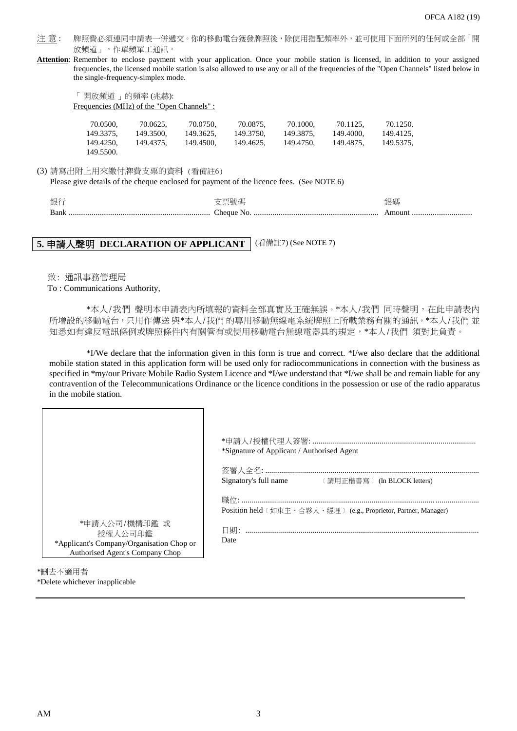- 注意: 牌照費必須連同申請表一併遞交。你的移動電台獲發牌照後,除使用指配頻率外,並可使用下面所列的任何或全部「開 放頻道」,作單頻單工通訊。
- **Attention**: Remember to enclose payment with your application. Once your mobile station is licensed, in addition to your assigned frequencies, the licensed mobile station is also allowed to use any or all of the frequencies of the "Open Channels" listed below in the single-frequency-simplex mode.

「 開放頻道 」的頻率 (兆赫): Frequencies (MHz) of the "Open Channels" :

| 70.0500,  | 70.0625.  | 70.0750.  | 70.0875.  | 70.1000.  | 70.1125.  | 70.1250.  |
|-----------|-----------|-----------|-----------|-----------|-----------|-----------|
| 149.3375. | 149.3500. | 149.3625. | 149.3750. | 149.3875. | 149.4000. | 149.4125. |
| 149.4250. | 149.4375. | 149.4500. | 149.4625. | 149.4750. | 149.4875. | 149.5375. |
| 149.5500. |           |           |           |           |           |           |

#### (3) 請寫出附上用來繳付牌費支票的資料 (看備註6)

Please give details of the cheque enclosed for payment of the licence fees. (See NOTE 6)

| 銀行   | 支票號碼 | 銀碼 |
|------|------|----|
| Bank |      |    |

# **5.** 申請人聲明 **DECLARATION OF APPLICANT** (看備註7) (See NOTE 7)

致: 通訊事務管理局

#### To : Communications Authority,

\*本人/我們 聲明本申請表內所填報的資料全部真實及正確無誤。\*本人/我們 同時聲明,在此申請表內 所增設的移動電台,只用作傳送 與\*本人/我們 的專用移動無線電系統牌照上所載業務有關的通訊。\*本人/我們 並 知悉如有違反電訊條例或牌照條件內有關管有或使用移動電台無線電器具的規定, \*本人/我們 須對此負責。

\*I/We declare that the information given in this form is true and correct. \*I/we also declare that the additional mobile station stated in this application form will be used only for radiocommunications in connection with the business as specified in \*my/our Private Mobile Radio System Licence and \*I/we understand that \*I/we shall be and remain liable for any contravention of the Telecommunications Ordinance or the licence conditions in the possession or use of the radio apparatus in the mobile station.

| *申請人公司/機構印鑑 或<br>授權人公司印鑑                  | *Signature of Applicant / Authorised Agent<br>Signatory's full name<br>(請用正楷書寫) (In BLOCK letters)<br>Position held (如東主、合夥人、經理) (e.g., Proprietor, Partner, Manager)<br>Date |
|-------------------------------------------|-------------------------------------------------------------------------------------------------------------------------------------------------------------------------------|
| *Applicant's Company/Organisation Chop or |                                                                                                                                                                               |
| Authorised Agent's Company Chop           |                                                                                                                                                                               |
| :㎜+ドネネ Ⅲ 圡                                |                                                                                                                                                                               |

\*刪去不適用者 \*Delete whichever inapplicable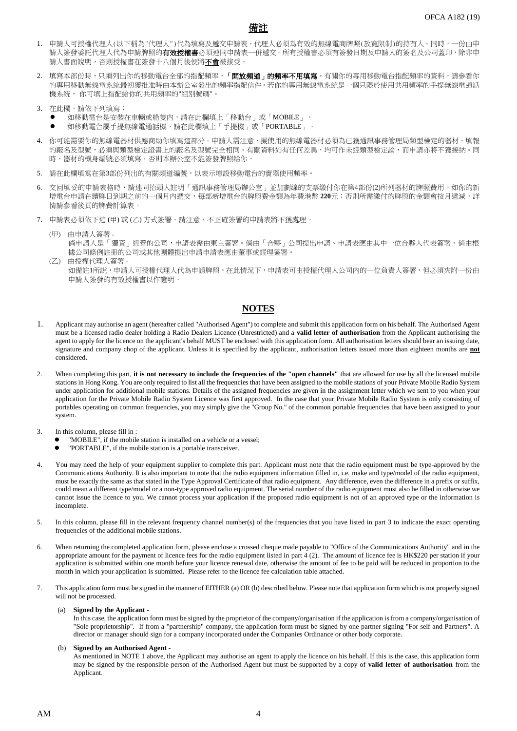

- 1. 申請人可授權代理人(以下稱為"代理人")代為填寫及遞交申請表,代理人必須為有效的無線電商牌照(放寬限制)的持有人。同時,一份由申 請人簽發委託代理人代為申請牌照的**有效授權書**必須連同申請表一併遞交。所有授權書必須有簽發日期及申請人的簽名及公司蓋印,除非申 請人書面說明,否則授權書在簽發十八個月後便將不會被接受。
- 2. 填寫本部份時,只須列出你的移動電台全部的指配頻率,「**開放頻道」的頻率不用填寫**。有關你的專用移動電台指配頻率的資料,請參看你 的專用移動無線電系統最初獲批准時由本辦公室發出的頻率指配信件。若你的專用無線電系統是一個只限於使用共用頻率的手提無線電通話 機系統, 你可填上指配給你的共用頻率的"組別號碼"。
- 3. 在此欄,請依下列填寫:
	- 如移動電台是安裝在車輛或船隻內,請在此欄填上「移動台」或「MOBILE」。
	- 如移動電台屬手提無線電通話機,請在此欄填上「手提機」或「PORTABLE」。
- 4. 你可能需要你的無線電器材供應商助你填寫這部分。申請人需注意,擬使用的無線電器材必須為已獲通訊事務管理局類型檢定的器材。填報 的廠名及型號,必須與類型檢定證書上的廠名及型號完全相同。有關資料如有任何差異,均可作未經類型檢定論,而申請亦將不獲接納。同 時,器材的機身編號必須填寫,否則本辦公室不能簽發牌照給你。
- 5. 請在此欄填寫在第3部份列出的有關頻道編號,以表示增設移動電台的實際使用頻率。
- 6. 交回填妥的申請表格時,請連同抬頭人註明「通訊事務管理局辦公室」並加劃線的支票繳付你在第4部份(2)所列器材的牌照費用。如你的新 增電台申請在續牌日到期之前的一個月內遞交,每部新增電台的牌照費金額為年費港幣 220元;否則所需繳付的牌照的金額會按月遞減,詳 情請參看後頁的牌費計算表。
- 7. 申請表必須依下述 (甲) 或 (乙) 方式簽署。請注意,不正確簽署的申請表將不獲處理。
	- (甲) 由申請人簽署 倘申請人是「獨資」經營的公司,申請表需由東主簽署。倘由「合夥」公司提出申請、申請表應由其中一位合夥人代表簽署。倘由根 據公司條例註冊的公司或其他團體提出申請申請表應由董事或經理簽署。
	- (乙) 由授權代理人簽署 如備註1所說,申請人可授權代理人代為申請牌照。在此情況下,申請表可由授權代理人公司內的一位負責人簽署,但必須夾附一份由 申請人簽發的有效授權書以作證明。

#### **NOTES**

- 1. Applicant may authorise an agent (hereafter called "Authorised Agent") to complete and submit this application form on his behalf. The Authorised Agent must be a licensed radio dealer holding a Radio Dealers Licence (Unrestricted) and a **valid letter of authorisation** from the Applicant authorising the agent to apply for the licence on the applicant's behalf MUST be enclosed with this application form. All authorisation letters should bear an issuing date, signature and company chop of the applicant. Unless it is specified by the applicant, authorisation letters issued more than eighteen months are **not** considered.
- 2. When completing this part, **it is not necessary to include the frequencies of the "open channels"** that are allowed for use by all the licensed mobile stations in Hong Kong. You are only required to list all the frequencies that have been assigned to the mobile stations of your Private Mobile Radio System under application for additional mobile stations. Details of the assigned frequencies are given in the assignment letter which we sent to you when your application for the Private Mobile Radio System Licence was first approved. In the case that your Private Mobile Radio System is only consisting of portables operating on common frequencies, you may simply give the "Group No." of the common portable frequencies that have been assigned to your system.
- 3. In this column, please fill in :
	- "MOBILE", if the mobile station is installed on a vehicle or a vessel;
	- "PORTABLE", if the mobile station is a portable transceiver.
- 4. You may need the help of your equipment supplier to complete this part. Applicant must note that the radio equipment must be type-approved by the Communications Authority. It is also important to note that the radio equipment information filled in, i.e. make and type/model of the radio equipment, must be exactly the same as that stated in the Type Approval Certificate of that radio equipment. Any difference, even the difference in a prefix or suffix, could mean a different type/model or a non-type approved radio equipment. The serial number of the radio equipment must also be filled in otherwise we cannot issue the licence to you. We cannot process your application if the proposed radio equipment is not of an approved type or the information is incomplete.
- 5. In this column, please fill in the relevant frequency channel number(s) of the frequencies that you have listed in part 3 to indicate the exact operating frequencies of the additional mobile stations.
- 6. When returning the completed application form, please enclose a crossed cheque made payable to "Office of the Communications Authority" and in the appropriate amount for the payment of licence fees for the radio equipment listed in part 4 (2). The amount of licence fee is HK\$220 per station if your application is submitted within one month before your licence renewal date, otherwise the amount of fee to be paid will be reduced in proportion to the month in which your application is submitted. Please refer to the licence fee calculation table attached.
- 7. This application form must be signed in the manner of EITHER (a) OR (b) described below. Please note that application form which is not properly signed will not be processed.

#### (a) **Signed by the Applicant** -

In this case, the application form must be signed by the proprietor of the company/organisation if the application is from a company/organisation of "Sole proprietorship". If from a "partnership" company, the application form must be signed by one partner signing "For self and Partners". A director or manager should sign for a company incorporated under the Companies Ordinance or other body corporate.

#### (b) **Signed by an Authorised Agent** -

As mentioned in NOTE 1 above, the Applicant may authorise an agent to apply the licence on his behalf. If this is the case, this application form may be signed by the responsible person of the Authorised Agent but must be supported by a copy of **valid letter of authorisation** from the Applicant.